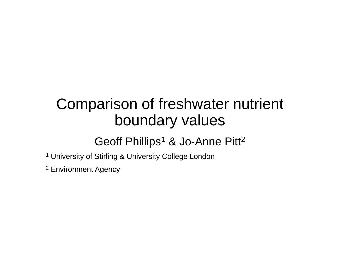## Comparison of freshwater nutrient boundary values

#### Geoff Phillips<sup>1</sup> & Jo-Anne Pitt<sup>2</sup>

- <sup>1</sup> University of Stirling & University College London
- <sup>2</sup> Environment Agency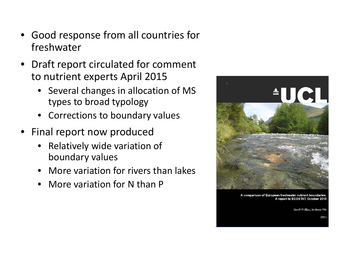- Good response from all countries for freshwater
- Draft report circulated for comment to nutrient experts April 2015
	- Several changes in allocation of MS types to broad typology
	- Corrections to boundary values
- Final report now produced
	- Relatively wide variation of boundary values
	- More variation for rivers than lakes
	- More variation for N than P



A comparison of European freshwater nutrient boundaries A report to ECOSTAT, October 2015

Geoff Phillips. Jo-Anne Pitt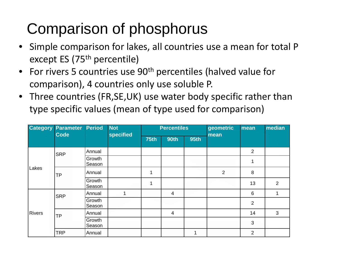### Comparison of phosphorus

- Simple comparison for lakes, all countries use a mean for total P except ES (75<sup>th</sup> percentile)
- For rivers 5 countries use 90<sup>th</sup> percentiles (halved value for comparison), 4 countries only use soluble P.
- Three countries (FR,SE,UK) use water body specific rather than type specific values (mean of type used for comparison)

|               | <b>Category Parameter</b><br><b>Code</b> | <b>Period</b>    | <b>Not</b><br><b>specified</b> | <b>Percentiles</b> |             |             | geometric<br>mean | mean           | median |
|---------------|------------------------------------------|------------------|--------------------------------|--------------------|-------------|-------------|-------------------|----------------|--------|
|               |                                          |                  |                                | <b>75th</b>        | <b>90th</b> | <b>95th</b> |                   |                |        |
| Lakes         | SRP                                      | Annual           |                                |                    |             |             |                   | $\overline{2}$ |        |
|               |                                          | Growth<br>Season |                                |                    |             |             |                   |                |        |
|               | <b>TP</b>                                | Annual           |                                | 1                  |             |             | $\overline{2}$    | 8              |        |
|               |                                          | Growth<br>Season |                                | 1                  |             |             |                   | 13             | 2      |
| <b>Rivers</b> | <b>SRP</b>                               | Annual           | 1                              |                    | 4           |             |                   | 6              |        |
|               |                                          | Growth<br>Season |                                |                    |             |             |                   | 2              |        |
|               | <b>TP</b>                                | Annual           |                                |                    | 4           |             |                   | 14             | 3      |
|               |                                          | Growth<br>Season |                                |                    |             |             |                   | 3              |        |
|               | <b>TRP</b>                               | Annual           |                                |                    |             | 1           |                   | $\overline{2}$ |        |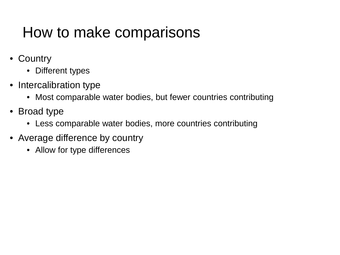#### How to make comparisons

- Country
	- Different types
- Intercalibration type
	- Most comparable water bodies, but fewer countries contributing
- Broad type
	- Less comparable water bodies, more countries contributing
- Average difference by country
	- Allow for type differences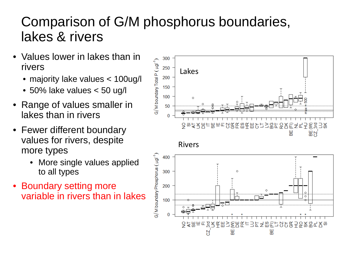#### Comparison of G/M phosphorus boundaries, lakes & rivers

- Values lower in lakes than in rivers
	- majority lake values < 100ug/l
	- 50% lake values < 50 ug/l
- Range of values smaller in lakes than in rivers
- Fewer different boundary values for rivers, despite more types
	- More single values applied to all types
- Boundary setting more variable in rivers than in lakes



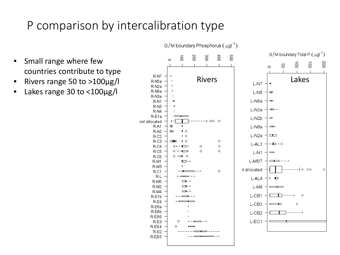#### P comparison by intercalibration type

- Small range where few countries contribute to type
- Rivers range 50 to >100µg/l
- Lakes range 30 to <100µg/l

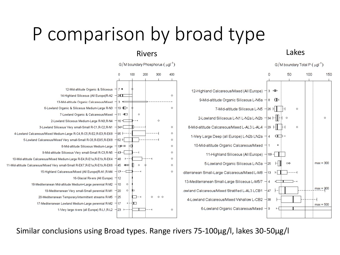# P comparison by broad type



#### Rivers Lakes



Similar conclusions using Broad types. Range rivers 75-100µg/l, lakes 30-50µg/l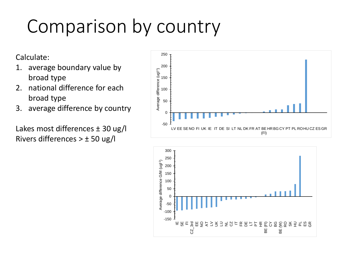# Comparison by country

Calculate:

- 1. average boundary value by broad type
- 2. national difference for each broad type
- 3. average difference by country

Lakes most differences ± 30 ug/l Rivers differences  $> \pm 50$  ug/l



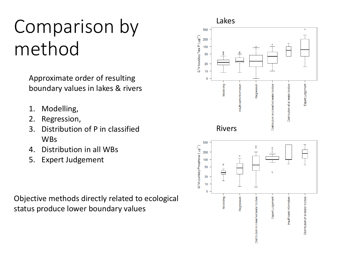## Comparison by method

Approximate order of resulting boundary values in lakes & rivers

- 1. Modelling,
- 2. Regression,
- 3. Distribution of P in classified WBs
- 4. Distribution in all WBs
- 5. Expert Judgement

Objective methods directly related to ecological status produce lower boundary values

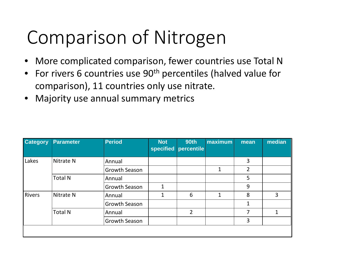# Comparison of Nitrogen

- More complicated comparison, fewer countries use Total N
- For rivers 6 countries use  $90<sup>th</sup>$  percentiles (halved value for comparison), 11 countries only use nitrate.
- Majority use annual summary metrics

| <b>Category</b> | <b>Parameter</b>     | <b>Period</b>        | <b>Not</b><br>specified | <b>90th</b><br>percentile | maximum      | mean           | median |
|-----------------|----------------------|----------------------|-------------------------|---------------------------|--------------|----------------|--------|
| Lakes           | Nitrate <sub>N</sub> | Annual               |                         |                           |              | 3              |        |
|                 |                      | <b>Growth Season</b> |                         |                           | $\mathbf{1}$ | $\overline{2}$ |        |
|                 | <b>Total N</b>       | Annual               |                         |                           |              | 5              |        |
|                 |                      | <b>Growth Season</b> | 1                       |                           |              | 9              |        |
| <b>Rivers</b>   | Nitrate <sub>N</sub> | Annual               | 1                       | 6                         | $\mathbf{1}$ | 8              | 3      |
|                 |                      | <b>Growth Season</b> |                         |                           |              | 1              |        |
|                 | <b>Total N</b>       | Annual               |                         | $\overline{2}$            |              | 7              | 1      |
|                 |                      | <b>Growth Season</b> |                         |                           |              | 3              |        |
|                 |                      |                      |                         |                           |              |                |        |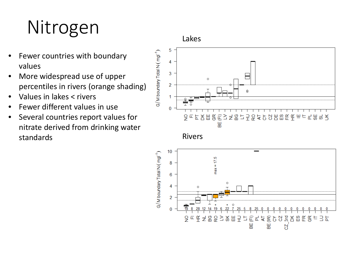# Nitrogen

- Fewer countries with boundary values
- More widespread use of upper percentiles in rivers (orange shading)
- Values in lakes < rivers
- Fewer different values in use
- Several countries report values for nitrate derived from drinking water standards

Lakes





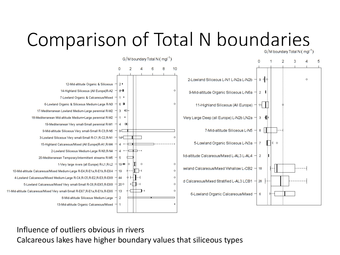# Comparison of Total N boundaries



 $G/M$  boundary Total N ( $mq^{-1}$ )

Influence of outliers obvious in rivers

Calcareous lakes have higher boundary values that siliceous types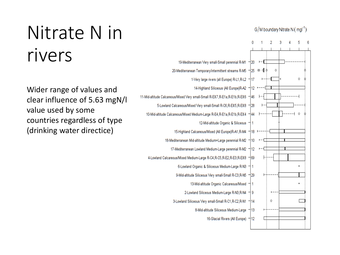# Nitrate N in rivers

Wider range of values and clear influence of 5.63 mgN/l value used by some countries regardless of type (drinking water directice)

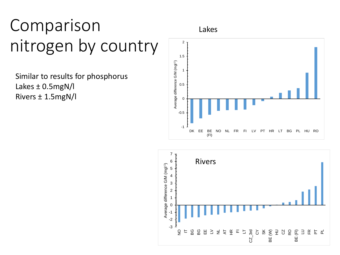## Comparison nitrogen by country

Similar to results for phosphorus Lakes ± 0.5mgN/l Rivers ± 1.5mgN/l

Lakes



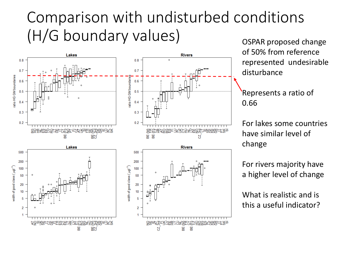### Comparison with undisturbed conditions (H/G boundary values) ospar proposed change



of 50% from reference represented undesirable disturbance

Represents a ratio of 0.66

For lakes some countries have similar level of change

For rivers majority have a higher level of change

What is realistic and is this a useful indicator?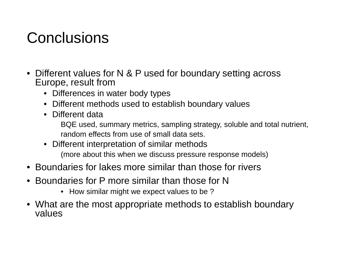#### **Conclusions**

- Different values for N & P used for boundary setting across Europe, result from
	- Differences in water body types
	- Different methods used to establish boundary values
	- Different data

BQE used, summary metrics, sampling strategy, soluble and total nutrient, random effects from use of small data sets.

- Different interpretation of similar methods (more about this when we discuss pressure response models)
- Boundaries for lakes more similar than those for rivers
- Boundaries for P more similar than those for N
	- How similar might we expect values to be?
- What are the most appropriate methods to establish boundary values